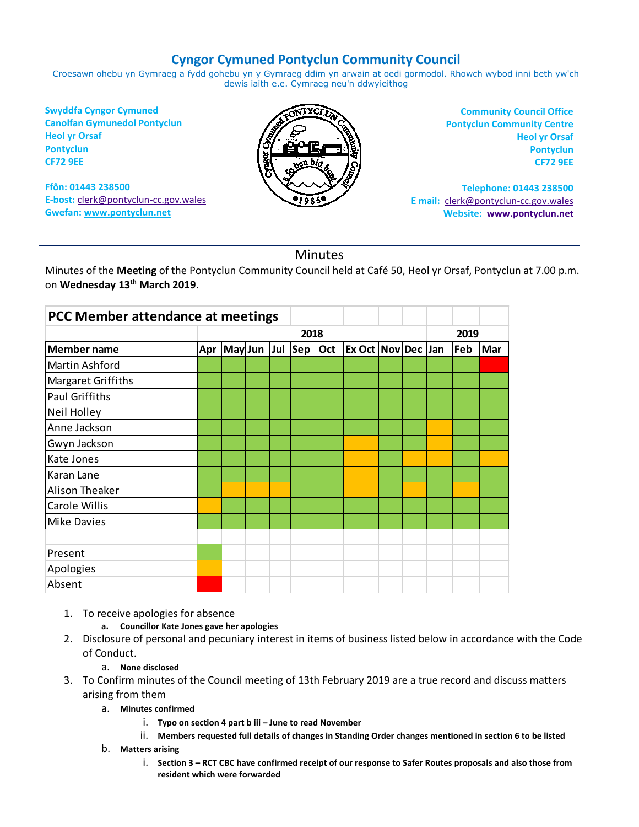## **Cyngor Cymuned Pontyclun Community Council**

Croesawn ohebu yn Gymraeg a fydd gohebu yn y Gymraeg ddim yn arwain at oedi gormodol. Rhowch wybod inni beth yw'ch dewis iaith e.e. Cymraeg neu'n ddwyieithog

**Swyddfa Cyngor Cymuned Canolfan Gymunedol Pontyclun Heol yr Orsaf Pontyclun CF72 9EE**

**Ffôn: 01443 238500 E-bost:** [clerk@pontyclun-cc.gov.wales](mailto:clerk@pontyclun-cc.gov.wales) **Gwefan[: www.pontyclun.net](http://www.pontyclun.net/)** 



**Community Council Office Pontyclun Community Centre Heol yr Orsaf Pontyclun CF72 9EE**

**Telephone: 01443 238500 E mail:** [clerk@pontyclun-cc.gov.wales](mailto:clerk@pontyclun-cc.gov.wales)  **Website: [www.pontyclun.net](http://www.pontyclun.net/)**

## Minutes

Minutes of the **Meeting** of the Pontyclun Community Council held at Café 50, Heol yr Orsaf, Pontyclun at 7.00 p.m. on **Wednesday 13th March 2019**.

| PCC Member attendance at meetings |      |                 |  |  |  |     |                           |  |  |      |     |     |
|-----------------------------------|------|-----------------|--|--|--|-----|---------------------------|--|--|------|-----|-----|
|                                   | 2018 |                 |  |  |  |     |                           |  |  | 2019 |     |     |
| Member name                       | Apr  | May Jun Jul Sep |  |  |  | Oct | <b>Ex Oct Nov Dec Jan</b> |  |  |      | Feb | Mar |
| Martin Ashford                    |      |                 |  |  |  |     |                           |  |  |      |     |     |
| Margaret Griffiths                |      |                 |  |  |  |     |                           |  |  |      |     |     |
| <b>Paul Griffiths</b>             |      |                 |  |  |  |     |                           |  |  |      |     |     |
| Neil Holley                       |      |                 |  |  |  |     |                           |  |  |      |     |     |
| Anne Jackson                      |      |                 |  |  |  |     |                           |  |  |      |     |     |
| Gwyn Jackson                      |      |                 |  |  |  |     |                           |  |  |      |     |     |
| Kate Jones                        |      |                 |  |  |  |     |                           |  |  |      |     |     |
| Karan Lane                        |      |                 |  |  |  |     |                           |  |  |      |     |     |
| Alison Theaker                    |      |                 |  |  |  |     |                           |  |  |      |     |     |
| <b>Carole Willis</b>              |      |                 |  |  |  |     |                           |  |  |      |     |     |
| <b>Mike Davies</b>                |      |                 |  |  |  |     |                           |  |  |      |     |     |
|                                   |      |                 |  |  |  |     |                           |  |  |      |     |     |
| Present                           |      |                 |  |  |  |     |                           |  |  |      |     |     |
| Apologies                         |      |                 |  |  |  |     |                           |  |  |      |     |     |
| Absent                            |      |                 |  |  |  |     |                           |  |  |      |     |     |

- 1. To receive apologies for absence
	- **a. Councillor Kate Jones gave her apologies**
- 2. Disclosure of personal and pecuniary interest in items of business listed below in accordance with the Code of Conduct.

## a. **None disclosed**

- 3. To Confirm minutes of the Council meeting of 13th February 2019 are a true record and discuss matters arising from them
	- a. **Minutes confirmed** 
		- i. **Typo on section 4 part b iii – June to read November**
		- ii. **Members requested full details of changes in Standing Order changes mentioned in section 6 to be listed**
	- b. **Matters arising**
		- i. **Section 3 – RCT CBC have confirmed receipt of our response to Safer Routes proposals and also those from resident which were forwarded**